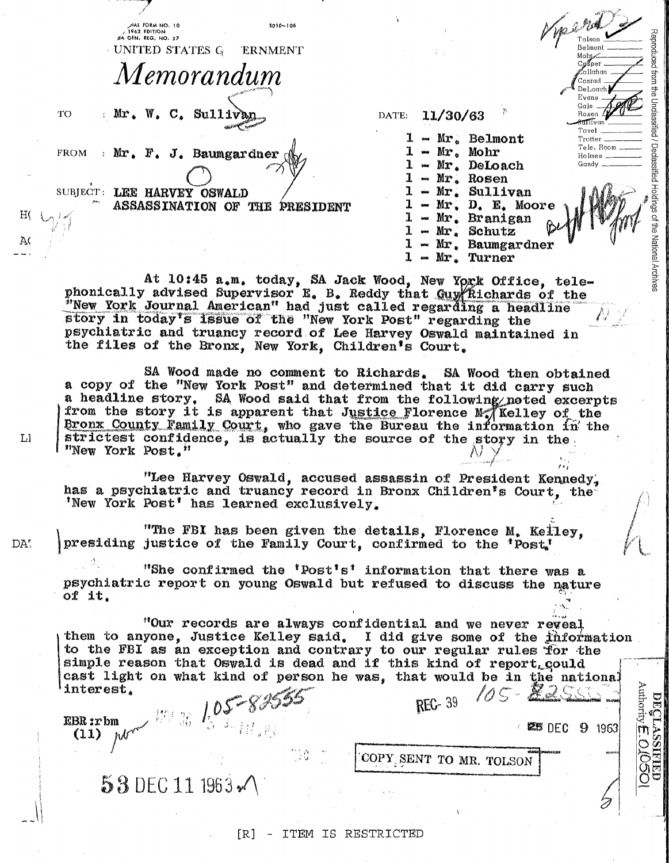|                                                                                                                                                                                                                                                                                                                                                                                                                                                            | HAL FORM NO. 10<br>$5010 - 106$<br>$/1962$ EDITION<br>5A GEN. REG. NO. 27<br>UNITED STATES G<br><b>ERNMENT</b> |                                                                               | Was 2 Pr<br>Mohr                                                                                                             |
|------------------------------------------------------------------------------------------------------------------------------------------------------------------------------------------------------------------------------------------------------------------------------------------------------------------------------------------------------------------------------------------------------------------------------------------------------------|----------------------------------------------------------------------------------------------------------------|-------------------------------------------------------------------------------|------------------------------------------------------------------------------------------------------------------------------|
| TO.                                                                                                                                                                                                                                                                                                                                                                                                                                                        | Memorandum<br>: Mr. W. C. Sulliv                                                                               | 11/30/63<br>DATE:                                                             | Reproduced from the Unclassified<br>Co≾ner<br>allahan<br>Conrad<br>DeLoach.<br>Evans<br>Gale<br>Rosen                        |
|                                                                                                                                                                                                                                                                                                                                                                                                                                                            | FROM : Mr. F. J. Baumgardner                                                                                   | - Mr. Belmont<br>$-$ Mr. Mohr<br>Mr. DeLoach<br>$-$ Mr. Rosen                 | Trotter<br>Tele, Room<br>Holmes<br>Gandy                                                                                     |
| A(                                                                                                                                                                                                                                                                                                                                                                                                                                                         | SUBJECT: LEE HARVEY OSWALD<br>ASSASSINATION OF THE PRESIDENT                                                   | $-Mr$ . Sullivan<br>- Mr. Branigan<br>$-Mr_*$ Schutz<br>1<br>$1 - Mr. Turner$ | / Declassified Holdings of the<br>/ Declassified Holdings<br>$-Mr$ , D. E. Moore<br>National Archives<br>$-$ Mr. Baumgardner |
| At 10:45 a.m. today, SA Jack Wood, New York Office, tele-<br>phonically advised Supervisor E. B. Reddy that Guy Richards of the<br>"New York Journal American" had just called regarding a headline<br>story in today's issue of the "New York Post" regarding the<br>psychiatric and truancy record of Lee Harvey Oswald maintained in<br>the files of the Bronx, New York, Children's Court.                                                             |                                                                                                                |                                                                               |                                                                                                                              |
| SA Wood made no comment to Richards. SA Wood then obtained<br>a copy of the "New York Post" and determined that it did carry such<br>a headline story. SA Wood said that from the following noted excerpts<br>from the story it is apparent that Justice Florence Mo Kelley of the<br>Bronx County Family Court, who gave the Bureau the information in the<br>strictest confidence, is actually the source of the story in the.<br>LI<br>"New York Post." |                                                                                                                |                                                                               |                                                                                                                              |
|                                                                                                                                                                                                                                                                                                                                                                                                                                                            | "Lee Harvey Oswald, accused assassin of President Kennedy.                                                     |                                                                               |                                                                                                                              |

has a psychiatric and truancy record in Bronx Children's Court, the 'New York Post' has learned exclusively.

"The FBI has been given the details, Florence M. Kelley, presiding justice of the Family Court, confirmed to the 'Post,'

"She confirmed the 'Post's' information that there was a psychiatric report on young Oswald but refused to discuss the nature of  $it.$ 

"Our records are always confidential and we never reveal them to anyone, Justice Kelley said. I did give some of the information to the FBI as an exception and contrary to our regular rules for the simple reason that Oswald is dead and if this kind of report, could cast light on what kind of person he was, that would be in the national DECLASSATED<br>Authority E.O.O<del>O</del> interest.

**REC-39** 

COPY SENT TO MR. TOLSON

**ES DEC 9 1963** 

iCSO

EBR:rbm  $(11)$ 

DA"

53 DEC 11 1963 x